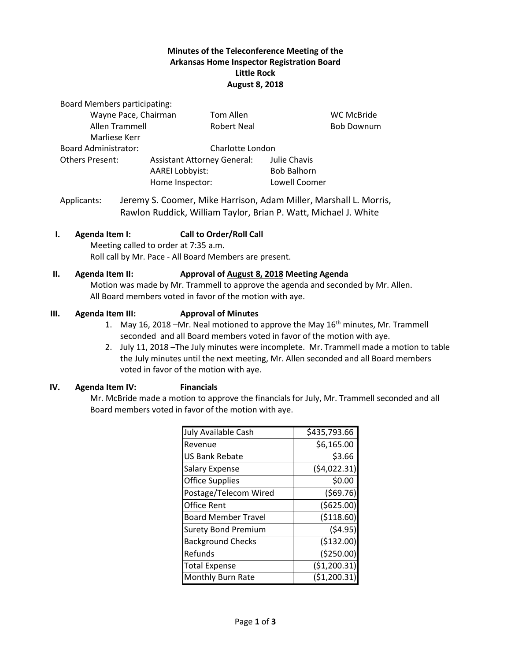## **Minutes of the Teleconference Meeting of the Arkansas Home Inspector Registration Board Little Rock August 8, 2018**

Board Members participating:

| Tom Allen          |                                                                                 | <b>WC McBride</b> |
|--------------------|---------------------------------------------------------------------------------|-------------------|
| <b>Robert Neal</b> |                                                                                 | <b>Bob Downum</b> |
|                    |                                                                                 |                   |
|                    |                                                                                 |                   |
|                    | Julie Chavis                                                                    |                   |
|                    | <b>Bob Balhorn</b>                                                              |                   |
|                    | Lowell Coomer                                                                   |                   |
|                    | <b>Assistant Attorney General:</b><br><b>AAREI Lobbyist:</b><br>Home Inspector: | Charlotte London  |

Applicants: Jeremy S. Coomer, Mike Harrison, Adam Miller, Marshall L. Morris, Rawlon Ruddick, William Taylor, Brian P. Watt, Michael J. White

### **I. Agenda Item I: Call to Order/Roll Call**

Meeting called to order at 7:35 a.m. Roll call by Mr. Pace - All Board Members are present.

#### **II. Agenda Item II: Approval of August 8, 2018 Meeting Agenda**

Motion was made by Mr. Trammell to approve the agenda and seconded by Mr. Allen. All Board members voted in favor of the motion with aye.

#### **III. Agenda Item III: Approval of Minutes**

- 1. May 16, 2018 –Mr. Neal motioned to approve the May 16<sup>th</sup> minutes, Mr. Trammell seconded and all Board members voted in favor of the motion with aye.
- 2. July 11, 2018 –The July minutes were incomplete. Mr. Trammell made a motion to table the July minutes until the next meeting, Mr. Allen seconded and all Board members voted in favor of the motion with aye.

#### **IV. Agenda Item IV: Financials**

Mr. McBride made a motion to approve the financials for July, Mr. Trammell seconded and all Board members voted in favor of the motion with aye.

| July Available Cash        | \$435,793.66  |
|----------------------------|---------------|
| Revenue                    | \$6,165.00    |
| <b>US Bank Rebate</b>      | \$3.66        |
| <b>Salary Expense</b>      | (54,022.31)   |
| <b>Office Supplies</b>     | \$0.00        |
| Postage/Telecom Wired      | (569.76)      |
| <b>Office Rent</b>         | ( \$625.00)   |
| <b>Board Member Travel</b> | (\$118.60)    |
| <b>Surety Bond Premium</b> | (54.95)       |
| <b>Background Checks</b>   | (\$132.00)    |
| Refunds                    | (\$250.00)    |
| <b>Total Expense</b>       | ( \$1,200.31) |
| Monthly Burn Rate          | (\$1,200.31   |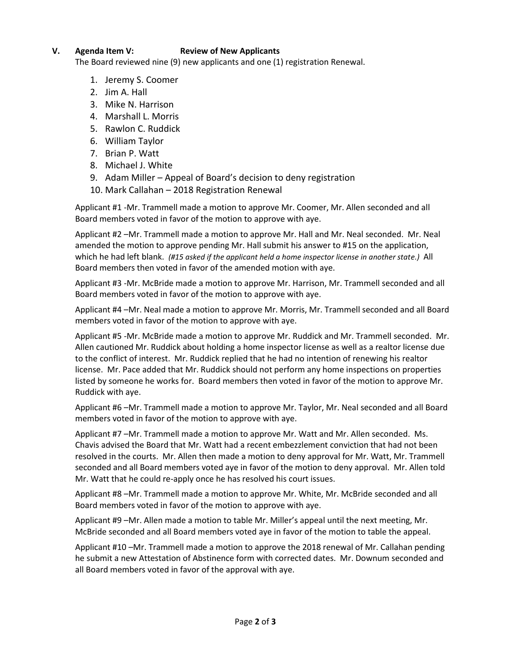# **V. Agenda Item V: Review of New Applicants**

The Board reviewed nine (9) new applicants and one (1) registration Renewal.

- 1. Jeremy S. Coomer
- 2. Jim A. Hall
- 3. Mike N. Harrison
- 4. Marshall L. Morris
- 5. Rawlon C. Ruddick
- 6. William Taylor
- 7. Brian P. Watt
- 8. Michael J. White
- 9. Adam Miller Appeal of Board's decision to deny registration
- 10. Mark Callahan 2018 Registration Renewal

Applicant #1 -Mr. Trammell made a motion to approve Mr. Coomer, Mr. Allen seconded and all Board members voted in favor of the motion to approve with aye.

Applicant #2 –Mr. Trammell made a motion to approve Mr. Hall and Mr. Neal seconded. Mr. Neal amended the motion to approve pending Mr. Hall submit his answer to #15 on the application, which he had left blank. (#15 asked if the applicant held a home inspector license in another state.) All Board members then voted in favor of the amended motion with aye.

Applicant #3 -Mr. McBride made a motion to approve Mr. Harrison, Mr. Trammell seconded and all Board members voted in favor of the motion to approve with aye.

Applicant #4 –Mr. Neal made a motion to approve Mr. Morris, Mr. Trammell seconded and all Board members voted in favor of the motion to approve with aye.

Applicant #5 -Mr. McBride made a motion to approve Mr. Ruddick and Mr. Trammell seconded. Mr. Allen cautioned Mr. Ruddick about holding a home inspector license as well as a realtor license due to the conflict of interest. Mr. Ruddick replied that he had no intention of renewing his realtor license. Mr. Pace added that Mr. Ruddick should not perform any home inspections on properties listed by someone he works for. Board members then voted in favor of the motion to approve Mr. Ruddick with aye.

Applicant #6 –Mr. Trammell made a motion to approve Mr. Taylor, Mr. Neal seconded and all Board members voted in favor of the motion to approve with aye.

Applicant #7 –Mr. Trammell made a motion to approve Mr. Watt and Mr. Allen seconded. Ms. Chavis advised the Board that Mr. Watt had a recent embezzlement conviction that had not been resolved in the courts. Mr. Allen then made a motion to deny approval for Mr. Watt, Mr. Trammell seconded and all Board members voted aye in favor of the motion to deny approval. Mr. Allen told Mr. Watt that he could re-apply once he has resolved his court issues.

Applicant #8 –Mr. Trammell made a motion to approve Mr. White, Mr. McBride seconded and all Board members voted in favor of the motion to approve with aye.

Applicant #9 –Mr. Allen made a motion to table Mr. Miller's appeal until the next meeting, Mr. McBride seconded and all Board members voted aye in favor of the motion to table the appeal.

Applicant #10 –Mr. Trammell made a motion to approve the 2018 renewal of Mr. Callahan pending he submit a new Attestation of Abstinence form with corrected dates. Mr. Downum seconded and all Board members voted in favor of the approval with aye.